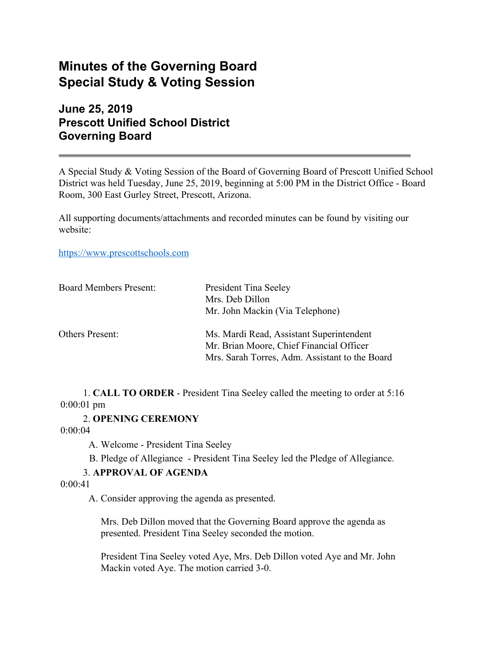# **Minutes of the Governing Board Special Study & Voting Session**

**June 25, 2019 Prescott Unified School District Governing Board**

A Special Study & Voting Session of the Board of Governing Board of Prescott Unified School District was held Tuesday, June 25, 2019, beginning at 5:00 PM in the District Office - Board Room, 300 East Gurley Street, Prescott, Arizona.

All supporting documents/attachments and recorded minutes can be found by visiting our website:

[https://www.prescottschools.com](https://www.prescottschools.com/)

| <b>Board Members Present:</b> | <b>President Tina Seeley</b><br>Mrs. Deb Dillon<br>Mr. John Mackin (Via Telephone)                                                     |
|-------------------------------|----------------------------------------------------------------------------------------------------------------------------------------|
| Others Present:               | Ms. Mardi Read, Assistant Superintendent<br>Mr. Brian Moore, Chief Financial Officer<br>Mrs. Sarah Torres, Adm. Assistant to the Board |

1. **CALL TO ORDER** - President Tina Seeley called the meeting to order at 5:16 0:00:01 pm

2. **OPENING CEREMONY**

0:00:04

A. Welcome - President Tina Seeley

B. Pledge of Allegiance - President Tina Seeley led the Pledge of Allegiance.

# 3. **APPROVAL OF AGENDA**

 $0.00 \cdot 41$ 

A. Consider approving the agenda as presented.

Mrs. Deb Dillon moved that the Governing Board approve the agenda as presented. President Tina Seeley seconded the motion.

President Tina Seeley voted Aye, Mrs. Deb Dillon voted Aye and Mr. John Mackin voted Aye. The motion carried 3-0.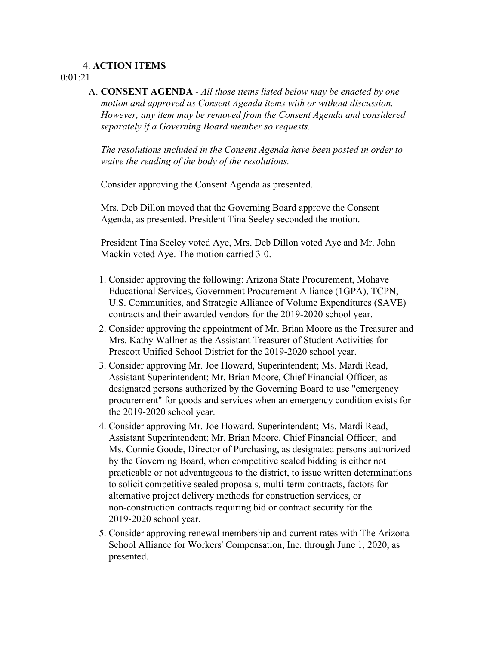# 4. **ACTION ITEMS**

### 0:01:21

A. **CONSENT AGENDA** - *All those items listed below may be enacted by one motion and approved as Consent Agenda items with or without discussion. However, any item may be removed from the Consent Agenda and considered separately if a Governing Board member so requests.*

*The resolutions included in the Consent Agenda have been posted in order to waive the reading of the body of the resolutions.*

Consider approving the Consent Agenda as presented.

Mrs. Deb Dillon moved that the Governing Board approve the Consent Agenda, as presented. President Tina Seeley seconded the motion.

President Tina Seeley voted Aye, Mrs. Deb Dillon voted Aye and Mr. John Mackin voted Aye. The motion carried 3-0.

- 1. Consider approving the following: Arizona State Procurement, Mohave Educational Services, Government Procurement Alliance (1GPA), TCPN, U.S. Communities, and Strategic Alliance of Volume Expenditures (SAVE) contracts and their awarded vendors for the 2019-2020 school year.
- 2. Consider approving the appointment of Mr. Brian Moore as the Treasurer and Mrs. Kathy Wallner as the Assistant Treasurer of Student Activities for Prescott Unified School District for the 2019-2020 school year.
- 3. Consider approving Mr. Joe Howard, Superintendent; Ms. Mardi Read, Assistant Superintendent; Mr. Brian Moore, Chief Financial Officer, as designated persons authorized by the Governing Board to use "emergency procurement" for goods and services when an emergency condition exists for the 2019-2020 school year.
- 4. Consider approving Mr. Joe Howard, Superintendent; Ms. Mardi Read, Assistant Superintendent; Mr. Brian Moore, Chief Financial Officer; and Ms. Connie Goode, Director of Purchasing, as designated persons authorized by the Governing Board, when competitive sealed bidding is either not practicable or not advantageous to the district, to issue written determinations to solicit competitive sealed proposals, multi-term contracts, factors for alternative project delivery methods for construction services, or non-construction contracts requiring bid or contract security for the 2019-2020 school year.
- 5. Consider approving renewal membership and current rates with The Arizona School Alliance for Workers' Compensation, Inc. through June 1, 2020, as presented.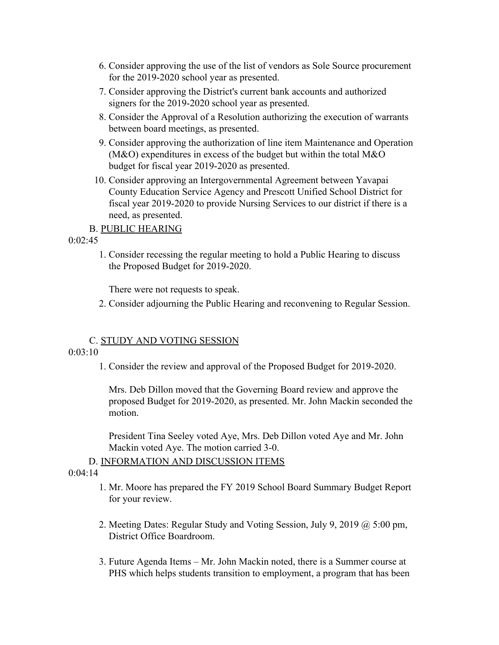- 6. Consider approving the use of the list of vendors as Sole Source procurement for the 2019-2020 school year as presented.
- 7. Consider approving the District's current bank accounts and authorized signers for the 2019-2020 school year as presented.
- 8. Consider the Approval of a Resolution authorizing the execution of warrants between board meetings, as presented.
- 9. Consider approving the authorization of line item Maintenance and Operation (M&O) expenditures in excess of the budget but within the total M&O budget for fiscal year 2019-2020 as presented.
- 10. Consider approving an Intergovernmental Agreement between Yavapai County Education Service Agency and Prescott Unified School District for fiscal year 2019-2020 to provide Nursing Services to our district if there is a need, as presented.

## B. PUBLIC HEARING

 $0.02.45$ 

1. Consider recessing the regular meeting to hold a Public Hearing to discuss the Proposed Budget for 2019-2020.

There were not requests to speak.

2. Consider adjourning the Public Hearing and reconvening to Regular Session.

## C. STUDY AND VOTING SESSION

#### $0.03 \cdot 10$

1. Consider the review and approval of the Proposed Budget for 2019-2020.

Mrs. Deb Dillon moved that the Governing Board review and approve the proposed Budget for 2019-2020, as presented. Mr. John Mackin seconded the motion.

President Tina Seeley voted Aye, Mrs. Deb Dillon voted Aye and Mr. John Mackin voted Aye. The motion carried 3-0.

#### D. INFORMATION AND DISCUSSION ITEMS

# $0.04.14$

- 1. Mr. Moore has prepared the FY 2019 School Board Summary Budget Report for your review.
- 2. Meeting Dates: Regular Study and Voting Session, July 9, 2019 @ 5:00 pm, District Office Boardroom.
- 3. Future Agenda Items Mr. John Mackin noted, there is a Summer course at PHS which helps students transition to employment, a program that has been